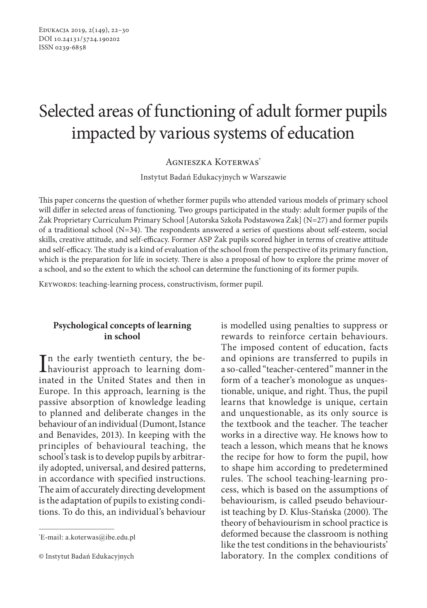# Selected areas of functioning of adult former pupils impacted by various systems of education

Agnieszka Koterwas\*

Instytut Badań Edukacyjnych w Warszawie

This paper concerns the question of whether former pupils who attended various models of primary school will differ in selected areas of functioning. Two groups participated in the study: adult former pupils of the Żak Proprietary Curriculum Primary School [Autorska Szkoła Podstawowa Żak] (N=27) and former pupils of a traditional school (N=34). The respondents answered a series of questions about self-esteem, social skills, creative attitude, and self-efficacy. Former ASP Żak pupils scored higher in terms of creative attitude and self-efficacy. The study is a kind of evaluation of the school from the perspective of its primary function, which is the preparation for life in society. There is also a proposal of how to explore the prime mover of a school, and so the extent to which the school can determine the functioning of its former pupils.

KEYWORDS: teaching-learning process, constructivism, former pupil.

## **Psychological concepts of learning in school**

In the early twentieth century, the be-<br>haviourist approach to learning domhaviourist approach to learning dominated in the United States and then in Europe. In this approach, learning is the passive absorption of knowledge leading to planned and deliberate changes in the behaviour of an individual (Dumont, Istance and Benavides, 2013). In keeping with the principles of behavioural teaching, the school's task is to develop pupils by arbitrarily adopted, universal, and desired patterns, in accordance with specified instructions. The aim of accurately directing development is the adaptation of pupils to existing conditions. To do this, an individual's behaviour

is modelled using penalties to suppress or rewards to reinforce certain behaviours. The imposed content of education, facts and opinions are transferred to pupils in a so-called "teacher-centered" manner in the form of a teacher's monologue as unquestionable, unique, and right. Thus, the pupil learns that knowledge is unique, certain and unquestionable, as its only source is the textbook and the teacher. The teacher works in a directive way. He knows how to teach a lesson, which means that he knows the recipe for how to form the pupil, how to shape him according to predetermined rules. The school teaching-learning process, which is based on the assumptions of behaviourism, is called pseudo behaviourist teaching by D. Klus-Stańska (2000). The theory of behaviourism in school practice is deformed because the classroom is nothing like the test conditions in the behaviourists' laboratory. In the complex conditions of

<sup>\*</sup> E-mail: a.koterwas@ibe.edu.pl

<sup>©</sup> Instytut Badań Edukacyjnych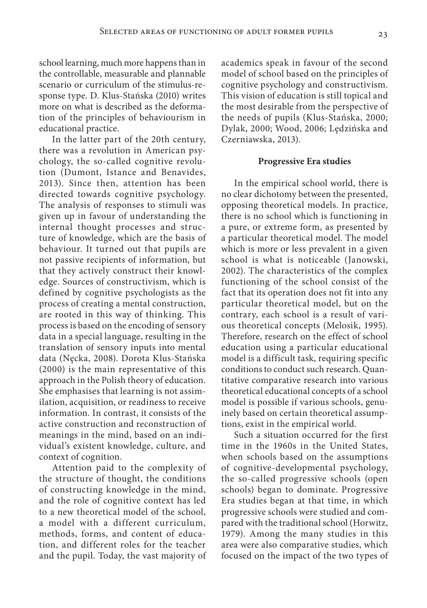school learning, much more happens than in the controllable, measurable and plannable scenario or curriculum of the stimulus-response type. D. Klus-Stańska (2010) writes more on what is described as the deformation of the principles of behaviourism in educational practice.

In the latter part of the 20th century, there was a revolution in American psychology, the so-called cognitive revolution (Dumont, Istance and Benavides, 2013). Since then, attention has been directed towards cognitive psychology. The analysis of responses to stimuli was given up in favour of understanding the internal thought processes and structure of knowledge, which are the basis of behaviour. It turned out that pupils are not passive recipients of information, but that they actively construct their knowledge. Sources of constructivism, which is defined by cognitive psychologists as the process of creating a mental construction, are rooted in this way of thinking. This process is based on the encoding of sensory data in a special language, resulting in the translation of sensory inputs into mental data (Nęcka, 2008). Dorota Klus-Stańska (2000) is the main representative of this approach in the Polish theory of education. She emphasises that learning is not assimilation, acquisition, or readiness to receive information. In contrast, it consists of the active construction and reconstruction of meanings in the mind, based on an individual's existent knowledge, culture, and context of cognition.

Attention paid to the complexity of the structure of thought, the conditions of constructing knowledge in the mind, and the role of cognitive context has led to a new theoretical model of the school, a model with a different curriculum, methods, forms, and content of education, and different roles for the teacher and the pupil. Today, the vast majority of academics speak in favour of the second model of school based on the principles of cognitive psychology and constructivism. This vision of education is still topical and the most desirable from the perspective of the needs of pupils (Klus-Stańska, 2000; Dylak, 2000; Wood, 2006; Lędzińska and Czerniawska, 2013).

#### **Progressive Era studies**

In the empirical school world, there is no clear dichotomy between the presented, opposing theoretical models. In practice, there is no school which is functioning in a pure, or extreme form, as presented by a particular theoretical model. The model which is more or less prevalent in a given school is what is noticeable (Janowski, 2002). The characteristics of the complex functioning of the school consist of the fact that its operation does not fit into any particular theoretical model, but on the contrary, each school is a result of various theoretical concepts (Melosik, 1995). Therefore, research on the effect of school education using a particular educational model is a difficult task, requiring specific conditions to conduct such research. Quantitative comparative research into various theoretical educational concepts of a school model is possible if various schools, genuinely based on certain theoretical assumptions, exist in the empirical world.

Such a situation occurred for the first time in the 1960s in the United States, when schools based on the assumptions of cognitive-developmental psychology, the so-called progressive schools (open schools) began to dominate. Progressive Era studies began at that time, in which progressive schools were studied and compared with the traditional school (Horwitz, 1979). Among the many studies in this area were also comparative studies, which focused on the impact of the two types of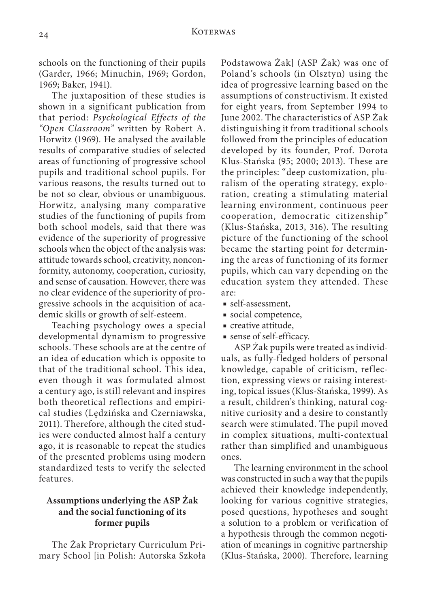schools on the functioning of their pupils (Garder, 1966; Minuchin, 1969; Gordon, 1969; Baker, 1941).

The juxtaposition of these studies is shown in a significant publication from that period: *Psychological Effects of the "Open Classroom"* written by Robert A. Horwitz (1969). He analysed the available results of comparative studies of selected areas of functioning of progressive school pupils and traditional school pupils. For various reasons, the results turned out to be not so clear, obvious or unambiguous. Horwitz, analysing many comparative studies of the functioning of pupils from both school models, said that there was evidence of the superiority of progressive schools when the object of the analysis was: attitude towards school, creativity, nonconformity, autonomy, cooperation, curiosity, and sense of causation. However, there was no clear evidence of the superiority of progressive schools in the acquisition of academic skills or growth of self-esteem.

Teaching psychology owes a special developmental dynamism to progressive schools. These schools are at the centre of an idea of education which is opposite to that of the traditional school. This idea, even though it was formulated almost a century ago, is still relevant and inspires both theoretical reflections and empirical studies (Lędzińska and Czerniawska, 2011). Therefore, although the cited studies were conducted almost half a century ago, it is reasonable to repeat the studies of the presented problems using modern standardized tests to verify the selected features.

# **Assumptions underlying the ASP Żak and the social functioning of its former pupils**

The Żak Proprietary Curriculum Primary School [in Polish: Autorska Szkoła Podstawowa Żak] (ASP Żak) was one of Poland's schools (in Olsztyn) using the idea of progressive learning based on the assumptions of constructivism. It existed for eight years, from September 1994 to June 2002. The characteristics of ASP Żak distinguishing it from traditional schools followed from the principles of education developed by its founder, Prof. Dorota Klus-Stańska (95; 2000; 2013). These are the principles: "deep customization, pluralism of the operating strategy, exploration, creating a stimulating material learning environment, continuous peer cooperation, democratic citizenship" (Klus-Stańska, 2013, 316). The resulting picture of the functioning of the school became the starting point for determining the areas of functioning of its former pupils, which can vary depending on the education system they attended. These are:

- self-assessment,
- social competence,
- creative attitude,
- sense of self-efficacy.

ASP Żak pupils were treated as individuals, as fully-fledged holders of personal knowledge, capable of criticism, reflection, expressing views or raising interesting, topical issues (Klus-Stańska, 1999). As a result, children's thinking, natural cognitive curiosity and a desire to constantly search were stimulated. The pupil moved in complex situations, multi-contextual rather than simplified and unambiguous ones.

The learning environment in the school was constructed in such a way that the pupils achieved their knowledge independently, looking for various cognitive strategies, posed questions, hypotheses and sought a solution to a problem or verification of a hypothesis through the common negotiation of meanings in cognitive partnership (Klus-Stańska, 2000). Therefore, learning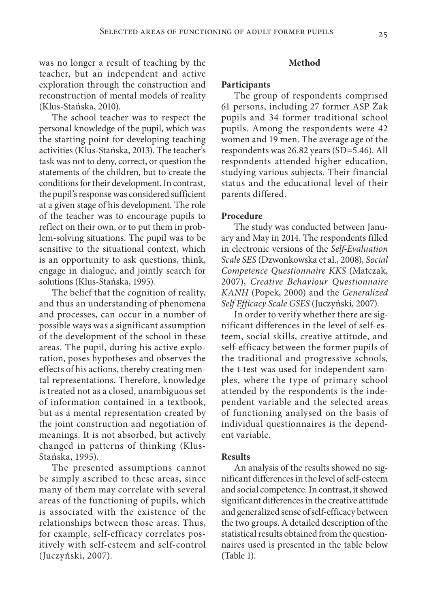was no longer a result of teaching by the teacher, but an independent and active exploration through the construction and reconstruction of mental models of reality (Klus-Stańska, 2010).

The school teacher was to respect the personal knowledge of the pupil, which was the starting point for developing teaching activities (Klus-Stańska, 2013). The teacher's task was not to deny, correct, or question the statements of the children, but to create the conditions for their development. In contrast, the pupil's response was considered sufficient at a given stage of his development. The role of the teacher was to encourage pupils to reflect on their own, or to put them in problem-solving situations. The pupil was to be sensitive to the situational context, which is an opportunity to ask questions, think, engage in dialogue, and jointly search for solutions (Klus-Stańska, 1995).

The belief that the cognition of reality, and thus an understanding of phenomena and processes, can occur in a number of possible ways was a significant assumption of the development of the school in these areas. The pupil, during his active exploration, poses hypotheses and observes the effects of his actions, thereby creating mental representations. Therefore, knowledge is treated not as a closed, unambiguous set of information contained in a textbook, but as a mental representation created by the joint construction and negotiation of meanings. It is not absorbed, but actively changed in patterns of thinking (Klus-Stańska, 1995).

The presented assumptions cannot be simply ascribed to these areas, since many of them may correlate with several areas of the functioning of pupils, which is associated with the existence of the relationships between those areas. Thus, for example, self-efficacy correlates positively with self-esteem and self-control (Juczyński, 2007).

#### **Method**

#### **Participants**

The group of respondents comprised 61 persons, including 27 former ASP Żak pupils and 34 former traditional school pupils. Among the respondents were 42 women and 19 men. The average age of the respondents was 26.82 years (SD=5.46). All respondents attended higher education, studying various subjects. Their financial status and the educational level of their parents differed.

### **Procedure**

The study was conducted between January and May in 2014. The respondents filled in electronic versions of the *Self-Evaluation Scale SES* (Dzwonkowska et al., 2008), *Social Competence Questionnaire KKS* (Matczak, 2007), *Creative Behaviour Questionnaire KANH* (Popek, 2000) and the *Generalized Self Efficacy Scale GSES* (Juczyński, 2007).

In order to verify whether there are significant differences in the level of self-esteem, social skills, creative attitude, and self-efficacy between the former pupils of the traditional and progressive schools, the t-test was used for independent samples, where the type of primary school attended by the respondents is the independent variable and the selected areas of functioning analysed on the basis of individual questionnaires is the dependent variable.

#### **Results**

An analysis of the results showed no significant differences in the level of self-esteem and social competence. In contrast, it showed significant differences in the creative attitude and generalized sense of self-efficacy between the two groups. A detailed description of the statistical results obtained from the questionnaires used is presented in the table below (Table 1).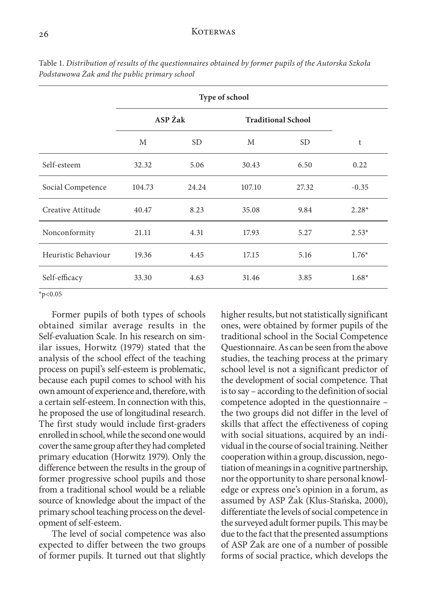## 26 KOTERWAS

|                     | Type of school |           |                           |                 |         |
|---------------------|----------------|-----------|---------------------------|-----------------|---------|
|                     | ASP Żak        |           | <b>Traditional School</b> |                 |         |
|                     | M              | <b>SD</b> | М                         | SD <sub>1</sub> | t       |
| Self-esteem         | 32.32          | 5.06      | 30.43                     | 6.50            | 0.22    |
| Social Competence   | 104.73         | 24.24     | 107.10                    | 27.32           | $-0.35$ |
| Creative Attitude   | 40.47          | 8.23      | 35.08                     | 9.84            | $2.28*$ |
| Nonconformity       | 21.11          | 4.31      | 17.93                     | 5.27            | $2.53*$ |
| Heuristic Behaviour | 19.36          | 4.45      | 17.15                     | 5.16            | $1.76*$ |
| Self-efficacy       | 33.30          | 4.63      | 31.46                     | 3.85            | $1.68*$ |

Table 1. *Distribution of results of the questionnaires obtained by former pupils of the Autorska Szkoła Podstawowa Żak and the public primary school*

 $*_{p<0.05}$ 

Former pupils of both types of schools obtained similar average results in the Self-evaluation Scale. In his research on similar issues, Horwitz (1979) stated that the analysis of the school effect of the teaching process on pupil's self-esteem is problematic, because each pupil comes to school with his own amount of experience and, therefore, with a certain self-esteem. In connection with this, he proposed the use of longitudinal research. The first study would include first-graders enrolled in school, while the second one would cover the same group after they had completed primary education (Horwitz 1979). Only the difference between the results in the group of former progressive school pupils and those from a traditional school would be a reliable source of knowledge about the impact of the primary school teaching process on the development of self-esteem.

The level of social competence was also expected to differ between the two groups of former pupils. It turned out that slightly higher results, but not statistically significant ones, were obtained by former pupils of the traditional school in the Social Competence Questionnaire. As can be seen from the above studies, the teaching process at the primary school level is not a significant predictor of the development of social competence. That is to say – according to the definition of social competence adopted in the questionnaire – the two groups did not differ in the level of skills that affect the effectiveness of coping with social situations, acquired by an individual in the course of social training. Neither cooperation within a group, discussion, negotiation of meanings in a cognitive partnership, nor the opportunity to share personal knowledge or express one's opinion in a forum, as assumed by ASP Żak (Klus-Stańska, 2000), differentiate the levels of social competence in the surveyed adult former pupils. This may be due to the fact that the presented assumptions of ASP Żak are one of a number of possible forms of social practice, which develops the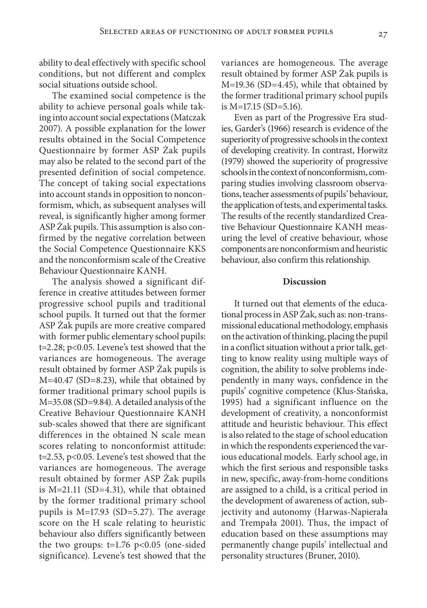ability to deal effectively with specific school conditions, but not different and complex social situations outside school.

The examined social competence is the ability to achieve personal goals while taking into account social expectations (Matczak 2007). A possible explanation for the lower results obtained in the Social Competence Questionnaire by former ASP Żak pupils may also be related to the second part of the presented definition of social competence. The concept of taking social expectations into account stands in opposition to nonconformism, which, as subsequent analyses will reveal, is significantly higher among former ASP Żak pupils. This assumption is also confirmed by the negative correlation between the Social Competence Questionnaire KKS and the nonconformism scale of the Creative Behaviour Questionnaire KANH.

The analysis showed a significant difference in creative attitudes between former progressive school pupils and traditional school pupils. It turned out that the former ASP Żak pupils are more creative compared with former public elementary school pupils: t=2.28; p<0.05. Levene's test showed that the variances are homogeneous. The average result obtained by former ASP Żak pupils is M=40.47 (SD=8.23), while that obtained by former traditional primary school pupils is M=35.08 (SD=9.84). A detailed analysis of the Creative Behaviour Questionnaire KANH sub-scales showed that there are significant differences in the obtained N scale mean scores relating to nonconformist attitude: t=2.53, p<0.05. Levene's test showed that the variances are homogeneous. The average result obtained by former ASP Żak pupils is M=21.11 (SD=4.31), while that obtained by the former traditional primary school pupils is M=17.93 (SD=5.27). The average score on the H scale relating to heuristic behaviour also differs significantly between the two groups:  $t=1.76$  p<0.05 (one-sided significance). Levene's test showed that the variances are homogeneous. The average result obtained by former ASP Żak pupils is M=19.36 (SD=4.45), while that obtained by the former traditional primary school pupils is M=17.15 (SD=5.16).

Even as part of the Progressive Era studies, Garder's (1966) research is evidence of the superiority of progressive schools in the context of developing creativity. In contrast, Horwitz (1979) showed the superiority of progressive schools in the context of nonconformism, comparing studies involving classroom observations, teacher assessments of pupils' behaviour, the application of tests, and experimental tasks. The results of the recently standardized Creative Behaviour Questionnaire KANH measuring the level of creative behaviour, whose components are nonconformism and heuristic behaviour, also confirm this relationship.

### **Discussion**

It turned out that elements of the educational process in ASP Żak, such as: non-transmissional educational methodology, emphasis on the activation of thinking, placing the pupil in a conflict situation without a prior talk, getting to know reality using multiple ways of cognition, the ability to solve problems independently in many ways, confidence in the pupils' cognitive competence (Klus-Stańska, 1995) had a significant influence on the development of creativity, a nonconformist attitude and heuristic behaviour. This effect is also related to the stage of school education in which the respondents experienced the various educational models. Early school age, in which the first serious and responsible tasks in new, specific, away-from-home conditions are assigned to a child, is a critical period in the development of awareness of action, subjectivity and autonomy (Harwas-Napierała and Trempała 2001). Thus, the impact of education based on these assumptions may permanently change pupils' intellectual and personality structures (Bruner, 2010).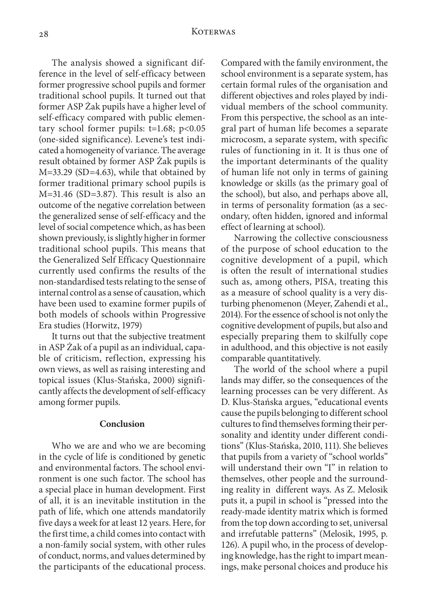The analysis showed a significant difference in the level of self-efficacy between former progressive school pupils and former traditional school pupils. It turned out that former ASP Żak pupils have a higher level of self-efficacy compared with public elementary school former pupils:  $t=1.68$ ;  $p<0.05$ (one-sided significance). Levene's test indicated a homogeneity of variance. The average result obtained by former ASP Żak pupils is M=33.29 (SD=4.63), while that obtained by former traditional primary school pupils is M=31.46 (SD=3.87). This result is also an outcome of the negative correlation between the generalized sense of self-efficacy and the level of social competence which, as has been shown previously, is slightly higher in former traditional school pupils. This means that the Generalized Self Efficacy Questionnaire currently used confirms the results of the non-standardised tests relating to the sense of internal control as a sense of causation, which have been used to examine former pupils of both models of schools within Progressive Era studies (Horwitz, 1979)

It turns out that the subjective treatment in ASP Żak of a pupil as an individual, capable of criticism, reflection, expressing his own views, as well as raising interesting and topical issues (Klus-Stańska, 2000) significantly affects the development of self-efficacy among former pupils.

#### **Conclusion**

Who we are and who we are becoming in the cycle of life is conditioned by genetic and environmental factors. The school environment is one such factor. The school has a special place in human development. First of all, it is an inevitable institution in the path of life, which one attends mandatorily five days a week for at least 12 years. Here, for the first time, a child comes into contact with a non-family social system, with other rules of conduct, norms, and values determined by the participants of the educational process.

Compared with the family environment, the school environment is a separate system, has certain formal rules of the organisation and different objectives and roles played by individual members of the school community. From this perspective, the school as an integral part of human life becomes a separate microcosm, a separate system, with specific rules of functioning in it. It is thus one of the important determinants of the quality of human life not only in terms of gaining knowledge or skills (as the primary goal of the school), but also, and perhaps above all, in terms of personality formation (as a secondary, often hidden, ignored and informal effect of learning at school).

Narrowing the collective consciousness of the purpose of school education to the cognitive development of a pupil, which is often the result of international studies such as, among others, PISA, treating this as a measure of school quality is a very disturbing phenomenon (Meyer, Zahendi et al., 2014). For the essence of school is not only the cognitive development of pupils, but also and especially preparing them to skilfully cope in adulthood, and this objective is not easily comparable quantitatively.

The world of the school where a pupil lands may differ, so the consequences of the learning processes can be very different. As D. Klus-Stańska argues, "educational events cause the pupils belonging to different school cultures to find themselves forming their personality and identity under different conditions" (Klus-Stańska, 2010, 111). She believes that pupils from a variety of "school worlds" will understand their own "I" in relation to themselves, other people and the surrounding reality in different ways. As Z. Melosik puts it, a pupil in school is "pressed into the ready-made identity matrix which is formed from the top down according to set, universal and irrefutable patterns" (Melosik, 1995, p. 126). A pupil who, in the process of developing knowledge, has the right to impart meanings, make personal choices and produce his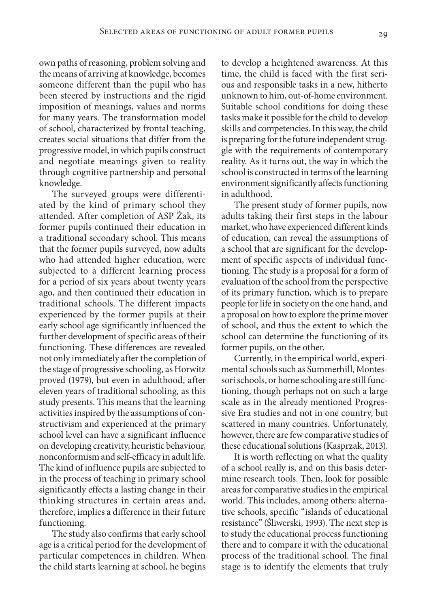own paths of reasoning, problem solving and the means of arriving at knowledge, becomes someone different than the pupil who has been steered by instructions and the rigid imposition of meanings, values and norms for many years. The transformation model of school, characterized by frontal teaching, creates social situations that differ from the progressive model, in which pupils construct and negotiate meanings given to reality through cognitive partnership and personal knowledge.

The surveyed groups were differentiated by the kind of primary school they attended. After completion of ASP Żak, its former pupils continued their education in a traditional secondary school. This means that the former pupils surveyed, now adults who had attended higher education, were subjected to a different learning process for a period of six years about twenty years ago, and then continued their education in traditional schools. The different impacts experienced by the former pupils at their early school age significantly influenced the further development of specific areas of their functioning. These differences are revealed not only immediately after the completion of the stage of progressive schooling, as Horwitz proved (1979), but even in adulthood, after eleven years of traditional schooling, as this study presents. This means that the learning activities inspired by the assumptions of constructivism and experienced at the primary school level can have a significant influence on developing creativity, heuristic behaviour, nonconformism and self-efficacy in adult life. The kind of influence pupils are subjected to in the process of teaching in primary school significantly effects a lasting change in their thinking structures in certain areas and, therefore, implies a difference in their future functioning.

The study also confirms that early school age is a critical period for the development of particular competences in children. When the child starts learning at school, he begins

to develop a heightened awareness. At this time, the child is faced with the first serious and responsible tasks in a new, hitherto unknown to him, out-of-home environment. Suitable school conditions for doing these tasks make it possible for the child to develop skills and competencies. In this way, the child is preparing for the future independent struggle with the requirements of contemporary reality. As it turns out, the way in which the school is constructed in terms of the learning environment significantly affects functioning in adulthood.

The present study of former pupils, now adults taking their first steps in the labour market, who have experienced different kinds of education, can reveal the assumptions of a school that are significant for the development of specific aspects of individual functioning. The study is a proposal for a form of evaluation of the school from the perspective of its primary function, which is to prepare people for life in society on the one hand, and a proposal on how to explore the prime mover of school, and thus the extent to which the school can determine the functioning of its former pupils, on the other.

Currently, in the empirical world, experimental schools such as Summerhill, Montessori schools, or home schooling are still functioning, though perhaps not on such a large scale as in the already mentioned Progressive Era studies and not in one country, but scattered in many countries. Unfortunately, however, there are few comparative studies of these educational solutions (Kasprzak, 2013).

It is worth reflecting on what the quality of a school really is, and on this basis determine research tools. Then, look for possible areas for comparative studies in the empirical world. This includes, among others: alternative schools, specific "islands of educational resistance" (Śliwerski, 1993). The next step is to study the educational process functioning there and to compare it with the educational process of the traditional school. The final stage is to identify the elements that truly